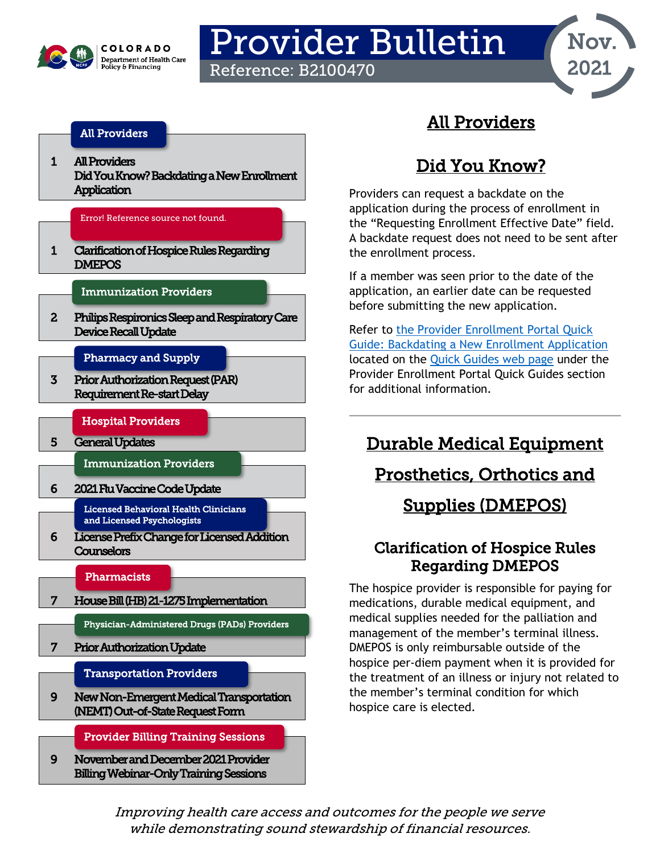

# Provider Bulletin

Reference: B2100470



### [All Providers](#page-0-1)

[1](#page-0-0) [All Providers](#page-0-1)  [Did You Know? B](#page-0-1)ackdating a New Enrollment **Application** 

Error! Reference source not found.

[1 Clarification of Hospice Rules Regarding](#page-0-2)  **DMEPOS** 

### [Immunization Providers](#page-5-2)

[2 Philips Respironics Sleep and Respiratory Care](#page-1-0)  [Device Recall Update](#page-1-0) 

### [Pharmacy and Supply](#page-1-1)

3 Prior Authorization Request (PAR) [Requirement Re-start Delay](#page-2-0)

[Hospital Providers](#page-4-1)

[5 General Updates](#page-4-0)

[Immunization Providers](#page-5-2) 

[6 2021 Flu Vaccine Code Update](#page-5-0) 

[Licensed Behavioral Health Clinicians](#page-5-3)  [and Licensed Psychologists](#page-5-3) 

[6 License Prefix Change for Licensed Addition](#page-5-1)  **[Counselors](#page-5-1)** 

#### **Pharmacists**

l [7 House Bill \(HB\) 21-1275 Implementation](#page-6-0) 

[Physician-Administered Drugs \(PADs\) Providers](#page-6-3) 

[7 Prior Authorization Update](#page-6-1)

[Transportation Providers](#page-8-2) 

[9 New Non-Emergent Medical Transportation](#page-8-0)  [\(NEMT\) Out-of-State Request Form](#page-8-0) 

[Provider Billing Training Sessions](#page-8-3) 

[9 November and December 2021 Provider](#page-8-1)  [Billing Webinar-Only Training Sessions](#page-8-1) 

# All Providers

# Did You Know?

<span id="page-0-1"></span><span id="page-0-0"></span>Providers can request a backdate on the application during the process of enrollment in the "Requesting Enrollment Effective Date" field. A backdate request does not need to be sent after the enrollment process.

If a member was seen prior to the date of the application, an earlier date can be requested before submitting the new application.

Refer to [the Provider Enrollment Portal Quick](https://hcpf.colorado.gov/backdating-enrollment)  [Guide: Backdating a New Enrollment Application](https://hcpf.colorado.gov/backdating-enrollment) located on the [Quick Guides web page](https://hcpf.colorado.gov/interchange-resources) under the Provider Enrollment Portal Quick Guides section for additional information.

# Durable Medical Equipment

# Prosthetics, Orthotics and

# Supplies (DMEPOS)

### <span id="page-0-2"></span>Clarification of Hospice Rules Regarding DMEPOS

The hospice provider is responsible for paying for medications, durable medical equipment, and medical supplies needed for the palliation and management of the member's terminal illness. DMEPOS is only reimbursable outside of the hospice per-diem payment when it is provided for the treatment of an illness or injury not related to the member's terminal condition for which hospice care is elected.

[Improving health](#page-1-1) care access and outcomes for the people we serve [while demons](#page-1-1)trating sound stewardship of financial resources.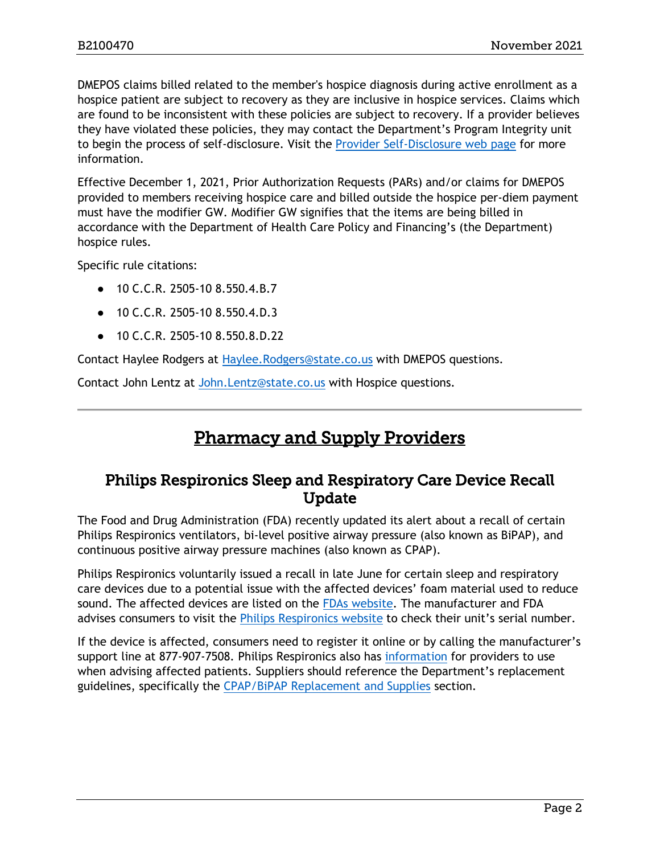DMEPOS claims billed related to the member's hospice diagnosis during active enrollment as a hospice patient are subject to recovery as they are inclusive in hospice services. Claims which are found to be inconsistent with these policies are subject to recovery. If a provider believes they have violated these policies, they may contact the Department's Program Integrity unit to begin the process of self-disclosure. Visit the [Provider Self-Disclosure web page](https://hcpf.colorado.gov/provider-self-disclosure) for more information.

Effective December 1, 2021, Prior Authorization Requests (PARs) and/or claims for DMEPOS provided to members receiving hospice care and billed outside the hospice per-diem payment must have the modifier GW. Modifier GW signifies that the items are being billed in accordance with the Department of Health Care Policy and Financing's (the Department) hospice rules.

Specific rule citations:

- 10 C.C.R. 2505-10 8.550.4.B.7
- 10 C.C.R. 2505-10 8.550.4.D.3
- 10 C.C.R. 2505-10 8.550.8.D.22

Contact Haylee Rodgers at [Haylee.Rodgers@state.co.us](mailto:Haylee.Rodgers@state.co.us) with DMEPOS questions.

<span id="page-1-1"></span>Contact John Lentz at [John.Lentz@state.co.us](mailto:John.Lentz@state.co.us) with Hospice questions.

### Pharmacy and Supply Providers

### <span id="page-1-0"></span>Philips Respironics Sleep and Respiratory Care Device Recall Update

The Food and Drug Administration (FDA) recently updated its alert about a recall of certain Philips Respironics ventilators, bi-level positive airway pressure (also known as BiPAP), and continuous positive airway pressure machines (also known as CPAP).

Philips Respironics voluntarily issued a recall in late June for certain sleep and respiratory care devices due to a potential issue with the affected devices' foam material used to reduce sound. The affected devices are listed on the [FDAs website.](https://urldefense.proofpoint.com/v2/url?u=https-3A__www.fda.gov_medical-2Ddevices_safety-2Dcommunications_certain-2Dphilips-2Drespironics-2Dventilators-2Dbipap-2Dand-2Dcpap-2Dmachines-2Drecalled-2Ddue-2Dpotential-2Dhealth-2Drisks&d=DwMFaQ&c=sdnEM9SRGFuMt5z5w3AhsPNahmNicq64TgF1JwNR0cs&r=UoH3COtm4WeQZUlnk5urdX5v7TiroEeqohwlicE9Vbw&m=86wk1uOuU3EyWkd_TY2tJ6ZcsM__BoonnxqG9taSc8M&s=m1iRbCHOewbDW7wDtqGKnospZQmqiwZjvC1L1A5vc_E&e=) The manufacturer and FDA advises consumers to visit the [Philips Respironics website](https://urldefense.proofpoint.com/v2/url?u=https-3A__www.usa.philips.com_healthcare_e_sleep_communications_src-2Dupdate-23section-5F3&d=DwMFaQ&c=sdnEM9SRGFuMt5z5w3AhsPNahmNicq64TgF1JwNR0cs&r=UoH3COtm4WeQZUlnk5urdX5v7TiroEeqohwlicE9Vbw&m=86wk1uOuU3EyWkd_TY2tJ6ZcsM__BoonnxqG9taSc8M&s=wbvzizu-JkYeMW8LYPlP5nDFyaCxrWK9RD1FBnMvblY&e=) to check their unit's serial number.

If the device is affected, consumers need to register it online or by calling the manufacturer's support line at 877-907-7508. Philips Respironics also has [information](https://urldefense.proofpoint.com/v2/url?u=https-3A__www.usa.philips.com_healthcare_e_sleep_communications_src-2Dupdate_information-2Dfor-2Dphysicians-2Dand-2Dproviders&d=DwMFaQ&c=sdnEM9SRGFuMt5z5w3AhsPNahmNicq64TgF1JwNR0cs&r=UoH3COtm4WeQZUlnk5urdX5v7TiroEeqohwlicE9Vbw&m=86wk1uOuU3EyWkd_TY2tJ6ZcsM__BoonnxqG9taSc8M&s=UOnQtt2wWjJDv6Ir7a-pFsdXlaGcO3WXRpz_2P-ka1g&e=) for providers to use when advising affected patients. Suppliers should reference the Department's replacement guidelines, specifically the [CPAP/BiPAP Replacement and Supplies](https://hcpf.colorado.gov/DMEPOS-manual#CPAP) section.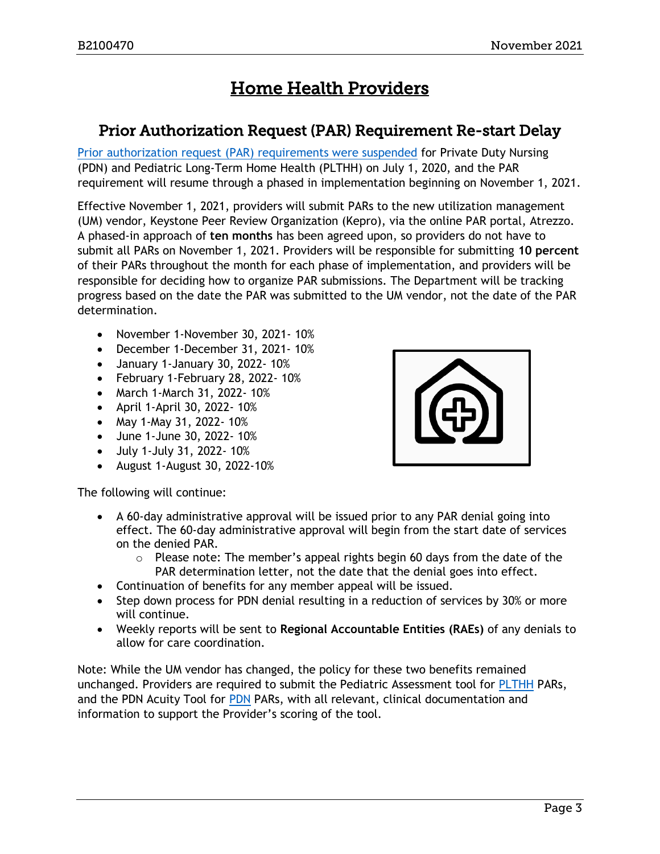# Home Health Providers

### <span id="page-2-0"></span>Prior Authorization Request (PAR) Requirement Re-start Delay

[Prior authorization request \(PAR\) requirements were suspended](https://hcpf.colorado.gov/sites/hcpf/files/Reminder%20-%20Prior%20Authorization%20Requests%20for%20Long-Term%20Home%20Health%20and%20Private%20Duty%20Nursing%20Providers%2010-2-2020.pdf) for Private Duty Nursing (PDN) and Pediatric Long-Term Home Health (PLTHH) on July 1, 2020, and the PAR requirement will resume through a phased in implementation beginning on November 1, 2021.

Effective November 1, 2021, providers will submit PARs to the new utilization management (UM) vendor, Keystone Peer Review Organization (Kepro), via the online PAR portal, Atrezzo. A phased-in approach of **ten months** has been agreed upon, so providers do not have to submit all PARs on November 1, 2021. Providers will be responsible for submitting **10 percent** of their PARs throughout the month for each phase of implementation, and providers will be responsible for deciding how to organize PAR submissions. The Department will be tracking progress based on the date the PAR was submitted to the UM vendor, not the date of the PAR determination.

- November 1-November 30, 2021- 10%
- December 1-December 31, 2021- 10%
- January 1-January 30, 2022- 10%
- February 1-February 28, 2022- 10%
- March 1-March 31, 2022- 10%
- April 1-April 30, 2022- 10%
- May 1-May 31, 2022- 10%
- June 1-June 30, 2022- 10%
- July 1-July 31, 2022- 10%
- August 1-August 30, 2022-10%

The following will continue:

- A 60-day administrative approval will be issued prior to any PAR denial going into effect. The 60-day administrative approval will begin from the start date of services on the denied PAR.
	- $\circ$  Please note: The member's appeal rights begin 60 days from the date of the PAR determination letter, not the date that the denial goes into effect.
- Continuation of benefits for any member appeal will be issued.
- Step down process for PDN denial resulting in a reduction of services by 30% or more will continue.
- Weekly reports will be sent to **Regional Accountable Entities (RAEs)** of any denials to allow for care coordination.

Note: While the UM vendor has changed, the policy for these two benefits remained unchanged. Providers are required to submit the Pediatric Assessment tool for [PLTHH](https://hcpf.colorado.gov/hh-billing_manual) PARs, and the PDN Acuity Tool for [PDN](https://hcpf.colorado.gov/pdn-manual) PARs, with all relevant, clinical documentation and information to support the Provider's scoring of the tool.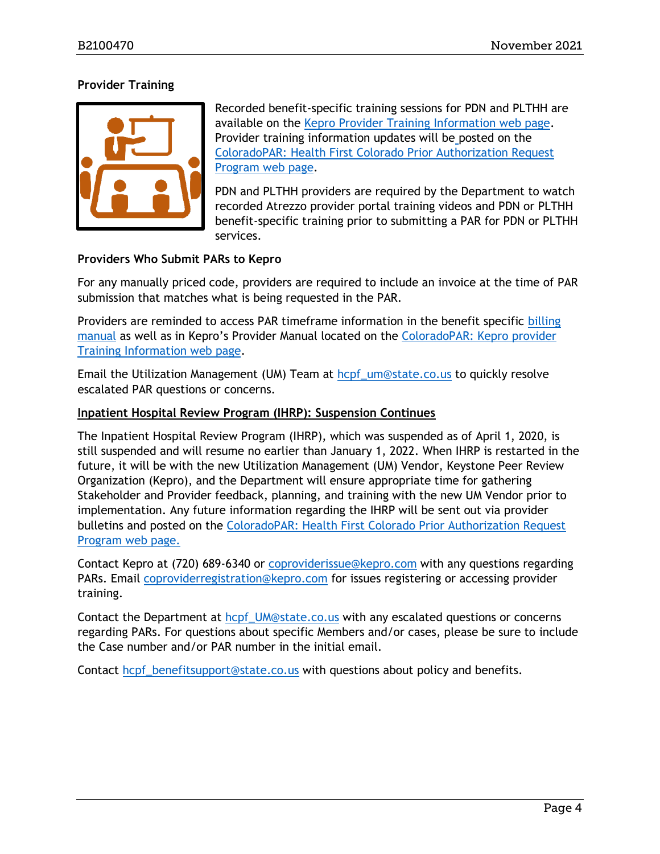#### **Provider Training**



Recorded benefit-specific training sessions for PDN and PLTHH are available on the [Kepro Provider Training Information web page.](https://hcpf.colorado.gov/coloradopar-utilization-management-um-vendor-transition-from-eqhealth-to-kepro) Provider training information updates will be posted on the ColoradoPAR: [Health First Colorado Prior Authorization Request](https://hcpf.colorado.gov/par)  [Program web page.](https://hcpf.colorado.gov/par)

PDN and PLTHH providers are required by the Department to watch recorded Atrezzo provider portal training videos and PDN or PLTHH benefit-specific training prior to submitting a PAR for PDN or PLTHH services.

#### **Providers Who Submit PARs to Kepro**

For any manually priced code, providers are required to include an invoice at the time of PAR submission that matches what is being requested in the PAR.

Providers are reminded to access PAR timeframe information in the benefit specific [billing](https://hcpf.colorado.gov/billing-manuals)  [manual](https://hcpf.colorado.gov/billing-manuals) as well as in Kepro's Provider Manual located on the [ColoradoPAR: Kepro provider](https://hcpf.colorado.gov/coloradopar-utilization-management-um-vendor-transition-from-eqhealth-to-kepro) [Training Information](https://hcpf.colorado.gov/coloradopar-utilization-management-um-vendor-transition-from-eqhealth-to-kepro) web page.

Email the Utilization Management (UM) Team at [hcpf\\_um@state.co.us](mailto:hcpf_um@state.co.us) to quickly resolve escalated PAR questions or concerns.

#### **Inpatient Hospital Review Program (IHRP): Suspension Continues**

The Inpatient Hospital Review Program (IHRP), which was suspended as of April 1, 2020, is still suspended and will resume no earlier than January 1, 2022. When IHRP is restarted in the future, it will be with the new Utilization Management (UM) Vendor, Keystone Peer Review Organization (Kepro), and the Department will ensure appropriate time for gathering Stakeholder and Provider feedback, planning, and training with the new UM Vendor prior to implementation. Any future information regarding the IHRP will be sent out via provider bulletins and posted on the [ColoradoPAR: Health First Colorado Prior Authorization Request](https://hcpf.colorado.gov/par)  [Program web page.](https://hcpf.colorado.gov/par)

Contact Kepro at (720) 689-6340 or [coproviderissue@kepro.com](mailto:coproviderissue@kepro.com) with any questions regarding PARs. Email [coproviderregistration@kepro.com](mailto:coproviderregistration@kepro.com) for issues registering or accessing provider training.

Contact the Department at [hcpf\\_UM@state.co.us](mailto:hcpf_UM@state.co.us) with any escalated questions or concerns regarding PARs. For questions about specific Members and/or cases, please be sure to include the Case number and/or PAR number in the initial email.

Contact [hcpf\\_benefitsupport@state.co.us](mailto:hcpf_benefitsupport@state.co.us) with questions about policy and benefits.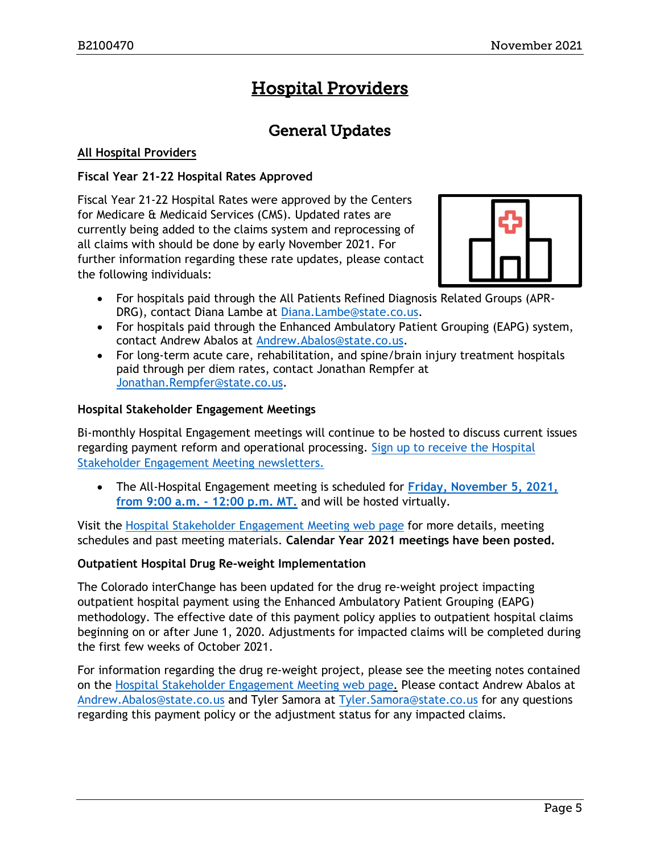# Hospital Providers

### General Updates

#### <span id="page-4-1"></span><span id="page-4-0"></span>**All Hospital Providers**

#### **Fiscal Year 21-22 Hospital Rates Approved**

Fiscal Year 21-22 Hospital Rates were approved by the Centers for Medicare & Medicaid Services (CMS). Updated rates are currently being added to the claims system and reprocessing of all claims with should be done by early November 2021. For further information regarding these rate updates, please contact the following individuals:



- For hospitals paid through the All Patients Refined Diagnosis Related Groups (APR-DRG), contact Diana Lambe at [Diana.Lambe@state.co.us.](mailto:Diana.Lambe@state.co.us)
- For hospitals paid through the Enhanced Ambulatory Patient Grouping (EAPG) system, contact Andrew Abalos at [Andrew.Abalos@state.co.us.](mailto:Andrew.Abalos@state.co.us)
- For long-term acute care, rehabilitation, and spine/brain injury treatment hospitals paid through per diem rates, contact Jonathan Rempfer at [Jonathan.Rempfer@state.co.us.](mailto:Jonathan.Rempfer@state.co.us)

#### **Hospital Stakeholder Engagement Meetings**

Bi-monthly Hospital Engagement meetings will continue to be hosted to discuss current issues regarding payment reform and operational processing. [Sign up to receive the Hospital](https://visitor.r20.constantcontact.com/manage/optin?v=001HfxrbpGNWZ0lZnPp6t3PG2s9XPNl8ZvgFdjsKvSnhIy8z9JmHyp6DeoLJ3saT6x0SeqRR1ub149uoXxe1ok4jTzfMSQ0BN7S5vcLiRO7gdY%3D)  [Stakeholder Engagement Meeting newsletters.](https://visitor.r20.constantcontact.com/manage/optin?v=001HfxrbpGNWZ0lZnPp6t3PG2s9XPNl8ZvgFdjsKvSnhIy8z9JmHyp6DeoLJ3saT6x0SeqRR1ub149uoXxe1ok4jTzfMSQ0BN7S5vcLiRO7gdY%3D)

• The All-Hospital Engagement meeting is scheduled for **Friday, [November 5, 2021,](https://hcpf.colorado.gov/hospital-stakeholder-engagement-meetings)  [from 9:00 a.m. -](https://hcpf.colorado.gov/hospital-stakeholder-engagement-meetings) 12:00 p.m. MT.** and will be hosted virtually.

Visit the [Hospital Stakeholder Engagement Meeting](https://hcpf.colorado.gov/hospital-stakeholder-engagement-meetings) web page for more details, meeting schedules and past meeting materials. **Calendar Year 2021 meetings have been posted.**

#### **Outpatient Hospital Drug Re-weight Implementation**

The Colorado interChange has been updated for the drug re-weight project impacting outpatient hospital payment using the Enhanced Ambulatory Patient Grouping (EAPG) methodology. The effective date of this payment policy applies to outpatient hospital claims beginning on or after June 1, 2020. Adjustments for impacted claims will be completed during the first few weeks of October 2021.

For information regarding the drug re-weight project, please see the meeting notes contained on the [Hospital Stakeholder Engagement Meeting](https://hcpf.colorado.gov/hospital-stakeholder-engagement-meetings) web page. Please contact Andrew Abalos at [Andrew.Abalos@state.co.us](mailto:Andrew.Abalos@state.co.us) and Tyler Samora at [Tyler.Samora@state.co.us](mailto:Tyler.Samora@state.co.us) for any questions regarding this payment policy or the adjustment status for any impacted claims.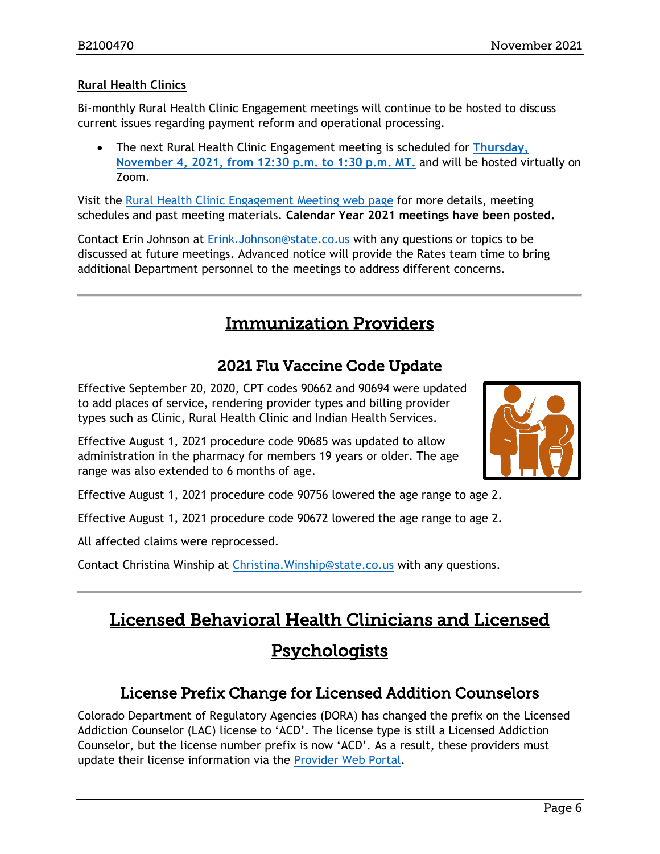#### **Rural Health Clinics**

Bi-monthly Rural Health Clinic Engagement meetings will continue to be hosted to discuss current issues regarding payment reform and operational processing.

• The next Rural Health Clinic Engagement meeting is scheduled for **[Thursday,](https://hcpf.colorado.gov/rural-hospital-and-rural-health-clinics)  [November 4, 2021, from 12:30 p.m. to 1:30 p.m. MT.](https://hcpf.colorado.gov/rural-hospital-and-rural-health-clinics)** and will be hosted virtually on Zoom.

Visit the [Rural Health Clinic Engagement Meeting](https://hcpf.colorado.gov/rural-hospital-and-rural-health-clinics) web page for more details, meeting schedules and past meeting materials. **Calendar Year 2021 meetings have been posted.**

Contact Erin Johnson at [Erink.Johnson@state.co.us](mailto:Erink.Johnson@state.co.us) with any questions or topics to be discussed at future meetings. Advanced notice will provide the Rates team time to bring additional Department personnel to the meetings to address different concerns.

# Immunization Providers

### 2021 Flu Vaccine Code Update

<span id="page-5-2"></span><span id="page-5-0"></span>Effective September 20, 2020, CPT codes 90662 and 90694 were updated to add places of service, rendering provider types and billing provider types such as Clinic, Rural Health Clinic and Indian Health Services.

Effective August 1, 2021 procedure code 90685 was updated to allow administration in the pharmacy for members 19 years or older. The age range was also extended to 6 months of age.



Effective August 1, 2021 procedure code 90756 lowered the age range to age 2.

Effective August 1, 2021 procedure code 90672 lowered the age range to age 2.

All affected claims were reprocessed.

Contact Christina Winship at [Christina.Winship@state.co.us](mailto:Christina.Winship@state.co.us) with any questions.

# <span id="page-5-3"></span>Licensed Behavioral Health Clinicians and Licensed **Psychologists**

### License Prefix Change for Licensed Addition Counselors

<span id="page-5-1"></span>Colorado Department of Regulatory Agencies (DORA) has changed the prefix on the Licensed Addiction Counselor (LAC) license to 'ACD'. The license type is still a Licensed Addiction Counselor, but the license number prefix is now 'ACD'. As a result, these providers must update their license information via the [Provider Web Portal.](https://colorado-hcp-portal.xco.dcs-usps.com/hcp/provider/Home/tabid/135/Default.aspx)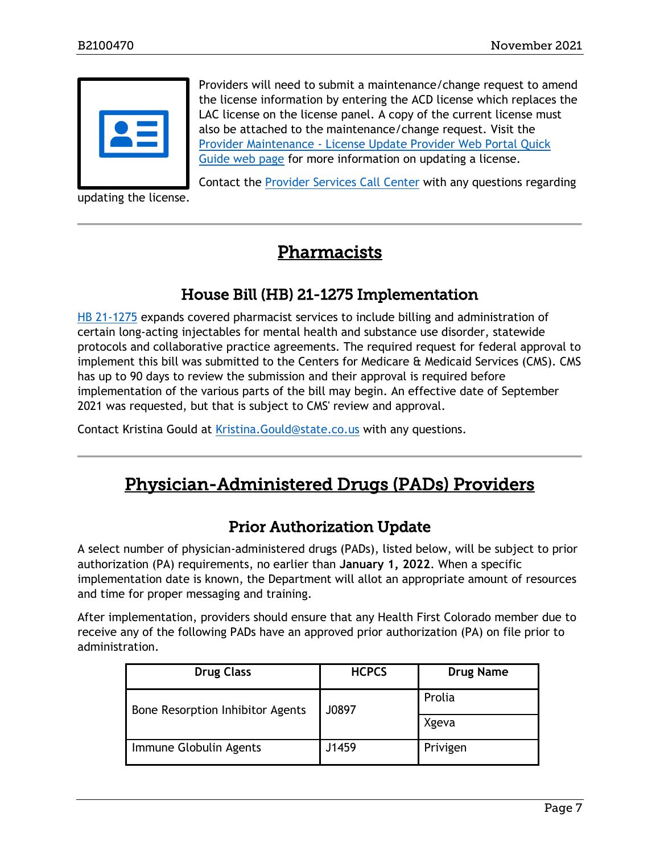

<span id="page-6-2"></span>updating the license.

Providers will need to submit a maintenance/change request to amend the license information by entering the ACD license which replaces the LAC license on the license panel. A copy of the current license must also be attached to the maintenance/change request. Visit the Provider Maintenance - [License Update Provider Web Portal Quick](https://hcpf.colorado.gov/update-license)  [Guide web page](https://hcpf.colorado.gov/update-license) for more information on updating a license.

Contact the [Provider Services Call Center](https://hcpf.colorado.gov/sites/hcpf/files/Health%20First%20Colorado_Provider%20Call%20Center%20Information%20Sheet%200242021_0.pdf) with any questions regarding

# Pharmacists

### House Bill (HB) 21-1275 Implementation

<span id="page-6-0"></span>[HB 21-1275](https://leg.colorado.gov/sites/default/files/2021a_1275_signed.pdf) expands covered pharmacist services to include billing and administration of certain long-acting injectables for mental health and substance use disorder, statewide protocols and collaborative practice agreements. The required request for federal approval to implement this bill was submitted to the Centers for Medicare & Medicaid Services (CMS). CMS has up to 90 days to review the submission and their approval is required before implementation of the various parts of the bill may begin. An effective date of September 2021 was requested, but that is subject to CMS' review and approval.

<span id="page-6-3"></span>Contact Kristina Gould at [Kristina.Gould@state.co.us](mailto:Kristina.Gould@state.co.us) with any questions.

# Physician-Administered Drugs (PADs) Providers

### Prior Authorization Update

<span id="page-6-1"></span>A select number of physician-administered drugs (PADs), listed below, will be subject to prior authorization (PA) requirements, no earlier than **January 1, 2022**. When a specific implementation date is known, the Department will allot an appropriate amount of resources and time for proper messaging and training.

After implementation, providers should ensure that any Health First Colorado member due to receive any of the following PADs have an approved prior authorization (PA) on file prior to administration.

| <b>Drug Class</b>                       | <b>HCPCS</b> | <b>Drug Name</b> |
|-----------------------------------------|--------------|------------------|
| <b>Bone Resorption Inhibitor Agents</b> | J0897        | Prolia           |
|                                         |              | Xgeva            |
| Immune Globulin Agents                  | J1459        | Privigen         |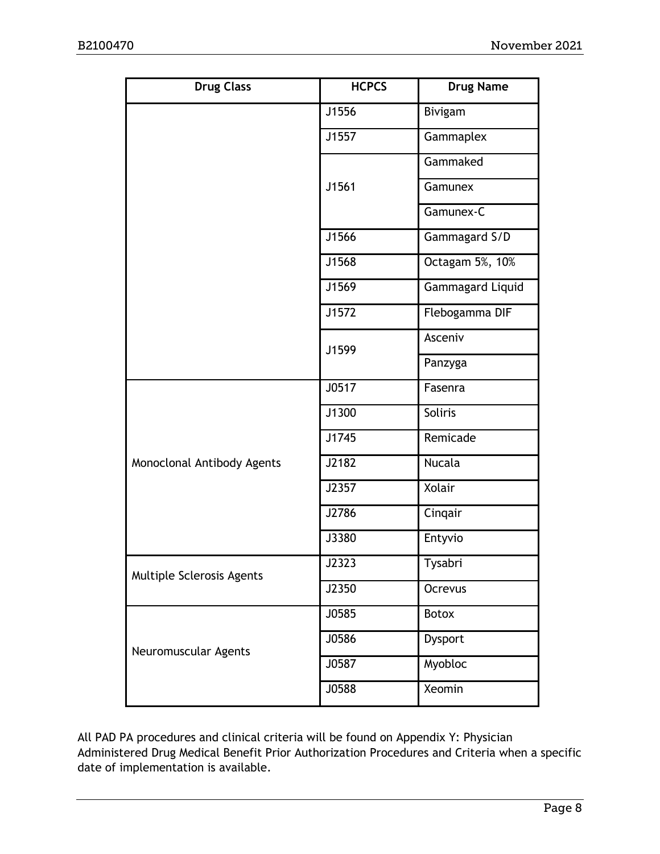| <b>Drug Class</b>          | <b>HCPCS</b> | <b>Drug Name</b> |  |
|----------------------------|--------------|------------------|--|
|                            | J1556        | Bivigam          |  |
|                            | J1557        | Gammaplex        |  |
|                            |              | Gammaked         |  |
|                            | J1561        | Gamunex          |  |
|                            |              | Gamunex-C        |  |
|                            | J1566        | Gammagard S/D    |  |
|                            | J1568        | Octagam 5%, 10%  |  |
|                            | J1569        | Gammagard Liquid |  |
|                            | J1572        | Flebogamma DIF   |  |
|                            | J1599        | Asceniv          |  |
|                            |              | Panzyga          |  |
|                            | J0517        | Fasenra          |  |
|                            | J1300        | Soliris          |  |
|                            | J1745        | Remicade         |  |
| Monoclonal Antibody Agents | J2182        | <b>Nucala</b>    |  |
|                            | J2357        | Xolair           |  |
|                            | J2786        | Cinqair          |  |
|                            | J3380        | Entyvio          |  |
| Multiple Sclerosis Agents  | J2323        | Tysabri          |  |
|                            | J2350        | Ocrevus          |  |
|                            | J0585        | <b>Botox</b>     |  |
| Neuromuscular Agents       | J0586        | Dysport          |  |
|                            | J0587        | Myobloc          |  |
|                            | J0588        | Xeomin           |  |

All PAD PA procedures and clinical criteria will be found on Appendix Y: Physician Administered Drug Medical Benefit Prior Authorization Procedures and Criteria when a specific date of implementation is available.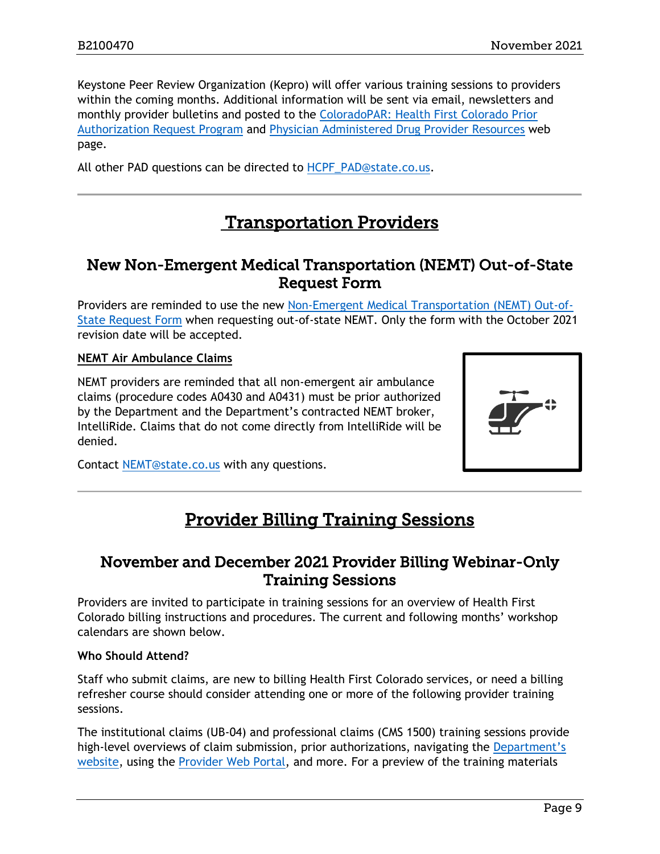Keystone Peer Review Organization (Kepro) will offer various training sessions to providers within the coming months. Additional information will be sent via email, newsletters and monthly provider bulletins and posted to the [ColoradoPAR: Health First Colorado](https://hcpf.colorado.gov/par) Prior [Authorization Request Program](https://hcpf.colorado.gov/par) and [Physician Administered Drug Provider Resources](https://hcpf.colorado.gov/physician-administered-drugs) web page.

All other PAD questions can be directed to [HCPF\\_PAD@state.co.us.](mailto:HCPF_PAD@state.co.us)

# <span id="page-8-2"></span>Transportation Providers

### <span id="page-8-0"></span>New Non-Emergent Medical Transportation (NEMT) Out-of-State Request Form

Providers are reminded to use the new [Non-Emergent Medical Transportation \(NEMT\) Out-of-](https://hcpf.colorado.gov/sites/hcpf/files/Non-Emergent%20Medical%20Transportation%20%28NEMT%29%20Prior%20Authorization%20Request%20%28PAR%29%20form%20Oct%202021.pdf)[State Request Form](https://hcpf.colorado.gov/sites/hcpf/files/Non-Emergent%20Medical%20Transportation%20%28NEMT%29%20Prior%20Authorization%20Request%20%28PAR%29%20form%20Oct%202021.pdf) when requesting out-of-state NEMT. Only the form with the October 2021 revision date will be accepted.

#### **NEMT Air Ambulance Claims**

NEMT providers are reminded that all non-emergent air ambulance claims (procedure codes A0430 and A0431) must be prior authorized by the Department and the Department's contracted NEMT broker, IntelliRide. Claims that do not come directly from IntelliRide will be denied.



<span id="page-8-3"></span>Contact [NEMT@state.co.us](mailto:NEMT@state.co.us) with any questions.

# Provider Billing Training Sessions

### <span id="page-8-1"></span>November and December 2021 Provider Billing Webinar-Only Training Sessions

Providers are invited to participate in training sessions for an overview of Health First Colorado billing instructions and procedures. The current and following months' workshop calendars are shown below.

#### **Who Should Attend?**

Staff who submit claims, are new to billing Health First Colorado services, or need a billing refresher course should consider attending one or more of the following provider training sessions.

The institutional claims (UB-04) and professional claims (CMS 1500) training sessions provide high-level overviews of claim submission, prior authorizations, navigating the Department's [website,](https://www.colorado.gov/hcpf/) using the [Provider Web Portal,](https://colorado-hcp-portal.xco.dcs-usps.com/hcp/provider/Home/tabid/135/Default.aspx) and more. For a preview of the training materials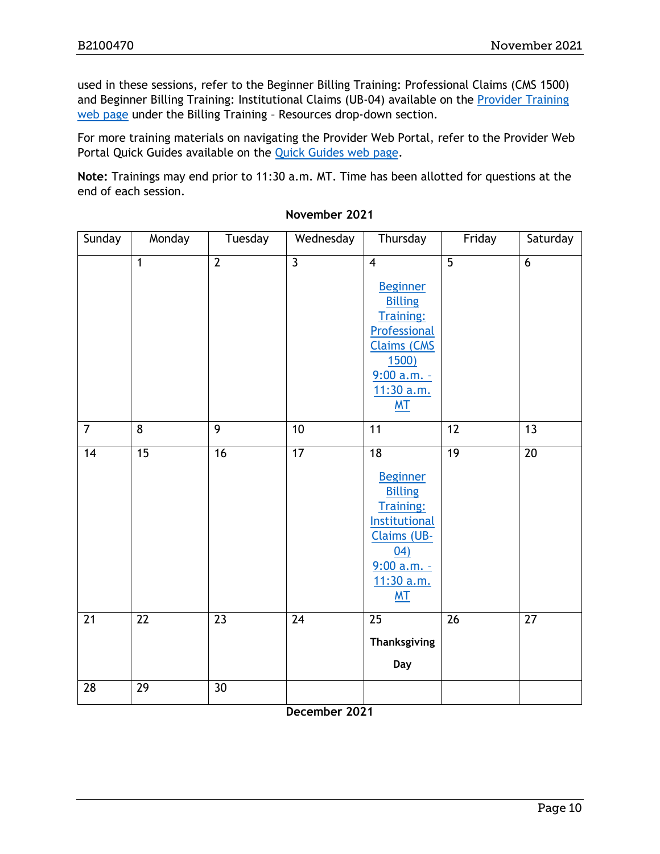used in these sessions, refer to the Beginner Billing Training: Professional Claims (CMS 1500) and Beginner Billing Training: Institutional Claims (UB-04) available on the *Provider Training* [web page](https://www.colorado.gov/pacific/hcpf/provider-training) under the Billing Training – Resources drop-down section.

For more training materials on navigating the Provider Web Portal, refer to the Provider Web Portal Quick Guides available on the [Quick Guides web page.](https://www.colorado.gov/hcpf/interchange-resources)

**Note:** Trainings may end prior to 11:30 a.m. MT. Time has been allotted for questions at the end of each session.

| Sunday         | Monday          | Tuesday        | Wednesday                 | Thursday                                                                                                                                                    | Friday         | Saturday        |
|----------------|-----------------|----------------|---------------------------|-------------------------------------------------------------------------------------------------------------------------------------------------------------|----------------|-----------------|
|                | $\mathbf{1}$    | $\overline{2}$ | $\overline{\mathbf{3}}$   | $\overline{4}$<br><b>Beginner</b><br><b>Billing</b><br>Training:<br>Professional<br><b>Claims (CMS</b><br><u>1500)</u><br>$9:00 a.m. -$<br>11:30 a.m.<br>MT | $\overline{5}$ | 6               |
| $\overline{7}$ | 8               | $\overline{9}$ | 10                        | 11                                                                                                                                                          | 12             | 13              |
| 14             | $\overline{15}$ | 16             | $\overline{17}$           | $\overline{18}$<br><b>Beginner</b><br><b>Billing</b><br>Training:<br><b>Institutional</b><br>Claims (UB-<br>04)<br>$9:00 a.m. -$<br>11:30 a.m.<br><b>MT</b> | 19             | $\overline{20}$ |
| 21             | 22              | 23             | $\overline{24}$           | 25<br>Thanksgiving<br>Day                                                                                                                                   | 26             | 27              |
| 28             | 29              | 30             | $\sum_{n=1}^{n} a_n$<br>n |                                                                                                                                                             |                |                 |

#### **November 2021**

**December 2021**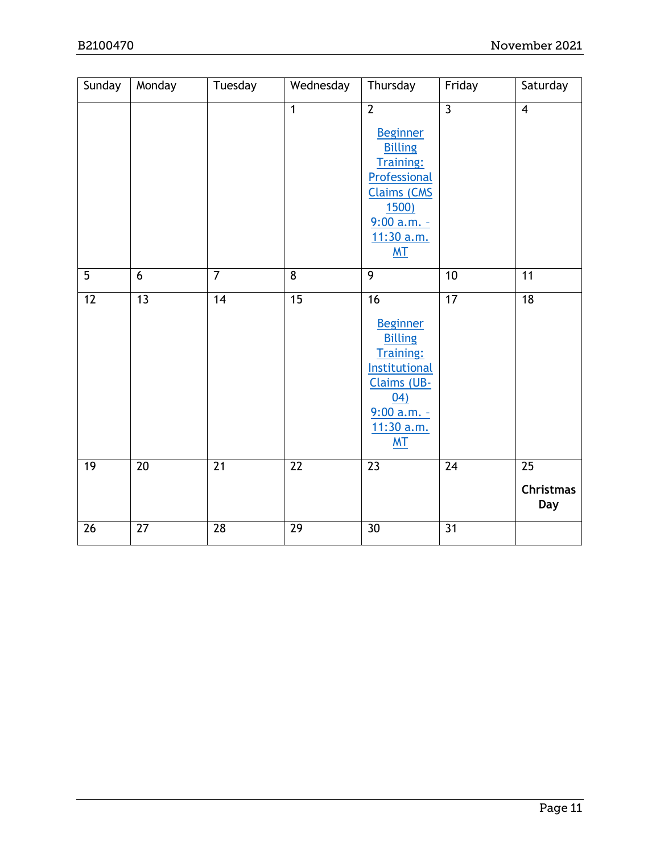| Sunday          | Monday          | Tuesday         | Wednesday       | Thursday                                                                                                                                                           | Friday         | Saturday                                   |
|-----------------|-----------------|-----------------|-----------------|--------------------------------------------------------------------------------------------------------------------------------------------------------------------|----------------|--------------------------------------------|
|                 |                 |                 | $\overline{1}$  | $\overline{2}$<br><b>Beginner</b><br><b>Billing</b><br><b>Training:</b><br>Professional<br><b>Claims (CMS</b><br><u>1500)</u><br>$9:00 a.m. -$<br>11:30 a.m.<br>MT | $\overline{3}$ | $\overline{4}$                             |
| $\overline{5}$  | 6               | $\overline{7}$  | $\overline{8}$  | $\overline{9}$                                                                                                                                                     | 10             | $\overline{11}$                            |
| $\overline{12}$ | $\overline{13}$ | 14              | $\overline{15}$ | 16<br><b>Beginner</b><br><b>Billing</b><br><b>Training:</b><br>Institutional<br>Claims (UB-<br>04)<br>$9:00$ a.m. -<br>11:30 a.m.<br>M <sub>T</sub>                | 17             | $\overline{18}$                            |
| 19              | 20              | $\overline{21}$ | $\overline{22}$ | $\overline{23}$                                                                                                                                                    | 24             | $\overline{25}$<br><b>Christmas</b><br>Day |
| 26              | 27              | 28              | 29              | 30                                                                                                                                                                 | 31             |                                            |